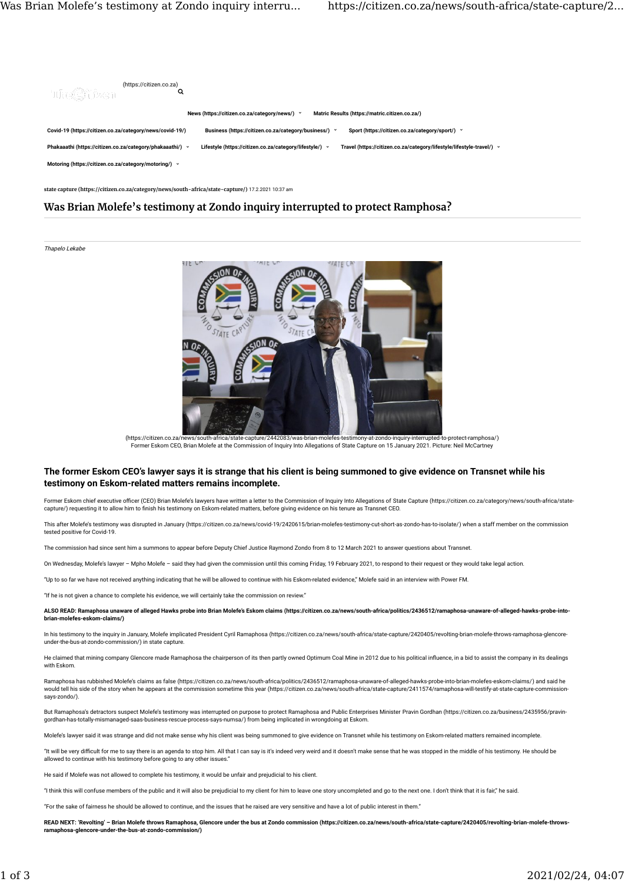

state capture (https://citizen.co.za/category/news/south-africa/state-capture/) 17.2.2021 10:37 am

# Was Brian Molefe's testimony at Zondo inquiry interrupted to protect Ramphosa?

#### Thapelo Lekabe



Former Eskom CEO, Brian Molefe at the Commission of Inquiry Into Allegations of State Capture on 15 January 2021. Picture: Neil McCartney (https://citizen.co.za/news/south-africa/state-capture/2442083/was-brian-molefes-testimony-at-zondo-inquiry-interrupted-to-protect-ramphosa/)

# The former Eskom CEO's lawyer says it is strange that his client is being summoned to give evidence on Transnet while his testimony on Eskom-related matters remains incomplete.

Former Eskom chief executive officer (CEO) Brian Molefe's lawyers have written a letter to the Commission of Inquiry Into Allegations of State Capture (https://citizen.co.za/category/news/south-africa/state-<br>capture/) requ

This after Molefe's testimony was disrupted in January (https://citizen.co.za/news/covid-19/2420615/brian-molefes-testimony-cut-short-as-zondo-has-to-isolate/) when a staff member on the commission tested positive for Covid-19.

The commission had since sent him a summons to appear before Deputy Chief Justice Raymond Zondo from 8 to 12 March 2021 to answer questions about Transnet.

On Wednesday, Molefe's lawyer – Mpho Molefe – said they had given the commission until this coming Friday, 19 February 2021, to respond to their request or they would take legal action.

"Up to so far we have not received anything indicating that he will be allowed to continue with his Eskom-related evidence," Molefe said in an interview with Power FM.

"If he is not given a chance to complete his evidence, we will certainly take the commission on review."

ALSO READ: Ramaphosa unaware of alleged Hawks probe into Brian Molefe's Eskom claims (https://citizen.co.za/news/south-africa/politics/2436512/ramaphosa-unaware-of-alleged-hawks-probe-intobrian-molefes-eskom-claims/)

In his testimony to the inquiry in January, Molefe implicated President Cyril Ramaphosa (https://citizen.co.za/news/south-africa/state-capture/2420405/revolting-brian-molefe-throws-ramaphosa-glencore under-the-bus-at-zondo-commission/) in state capture.

He claimed that mining company Glencore made Ramaphosa the chairperson of its then partly owned Optimum Coal Mine in 2012 due to his political influence, in a bid to assist the company in its dealings with Eskom.

Ramaphosa has rubbished Molefe's claims as false (https://citizen.co.za/news/south-africa/politics/2436512/ramaphosa-unaware-of-alleged-hawks-probe-into-brian-molefes-eskom-claims/) and said he would tell his side of the story when he appears at the commission sometime this year (https://citizen.co.za/news/south-africa/state-capture/2411574/ramaphosa-will-testify-at-state-capture-commissionsays-zondo/)

But Ramaphosa's detractors suspect Molefe's testimony was interrupted on purpose to protect Ramaphosa and Public Enterprises Minister Pravin Gordhan (https://citizen.co.za/business/2435956/pravingordhan-has-totally-mismanaged-saas-business-rescue-process-says-numsa/) from being implicated in wrongdoing at Eskom.

Molefe's lawyer said it was strange and did not make sense why his client was being summoned to give evidence on Transnet while his testimony on Eskom-related matters remained incomplete.

"It will be very difficult for me to say there is an agenda to stop him. All that I can say is it's indeed very weird and it doesn't make sense that he was stopped in the middle of his testimony. He should be allowed to continue with his testimony before going to any other issues.

He said if Molefe was not allowed to complete his testimony, it would be unfair and prejudicial to his client.

"I think this will confuse members of the public and it will also be prejudicial to my client for him to leave one story uncompleted and go to the next one. I don't think that it is fair," he said.

"For the sake of fairness he should be allowed to continue, and the issues that he raised are very sensitive and have a lot of public interest in them."

READ NEXT: 'Revolting' - Brian Molefe throws Ramaphosa, Glencore under the bus at Zondo commission (https://citizen.co.za/news/south-africa/state-capture/2420405/revolting-brian-molefe-throw ramaphosa-glencore-under-the-bus-at-zondo-commission/)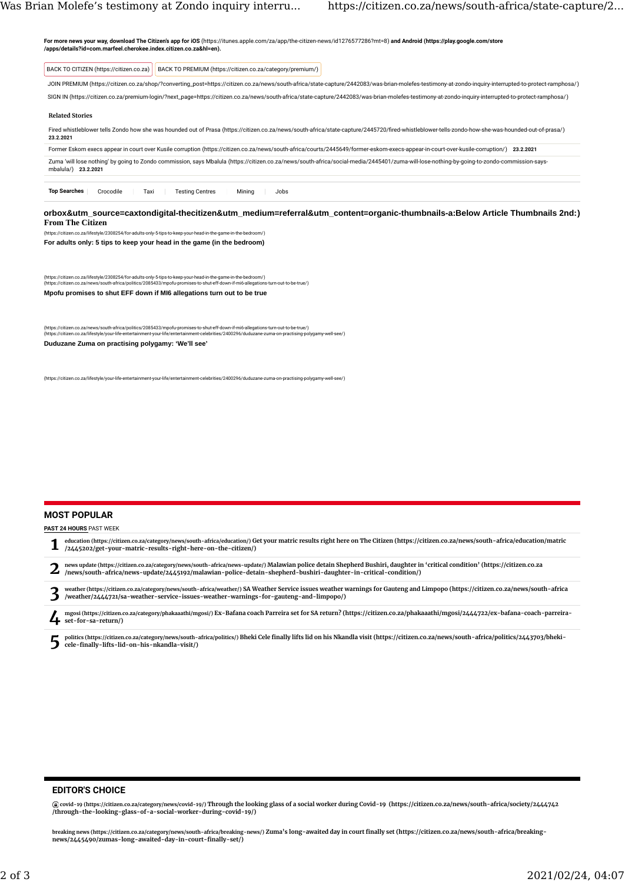| BACK TO CITIZEN (https://citizen.co.za)  | BACK TO PREMIUM (https://citizen.co.za/category/premium/)                                                                                                                                              |  |
|------------------------------------------|--------------------------------------------------------------------------------------------------------------------------------------------------------------------------------------------------------|--|
|                                          | JOIN PREMIUM (https://citizen.co.za/shop/?converting_post=https://citizen.co.za/news/south-africa/state-capture/2442083/was-brian-molefes-testimony-at-zondo-inquiry-interrupted-to-protect-ramphosa/) |  |
|                                          | SIGN IN (https://citizen.co.za/premium-login/?next_page=https://citizen.co.za/news/south-africa/state-capture/2442083/was-brian-molefes-testimony-at-zondo-inquiry-interrupted-to-protect-ramphosa/)   |  |
| <b>Related Stories</b>                   |                                                                                                                                                                                                        |  |
| 23.2.2021                                | Fired whistleblower tells Zondo how she was hounded out of Prasa (https://citizen.co.za/news/south-africa/state-capture/2445720/fired-whistleblower-tells-zondo-how-she-was-hounded-out-of-prasa/)     |  |
|                                          | Former Eskom execs appear in court over Kusile corruption (https://citizen.co.za/news/south-africa/courts/2445649/former-eskom-execs-appear-in-court-over-kusile-corruption/) 23.2.2021                |  |
| mbalula/) 23.2.2021                      | Zuma 'will lose nothing' by going to Zondo commission, says Mbalula (https://citizen.co.za/news/south-africa/social-media/2445401/zuma-will-lose-nothing-by-going-to-zondo-commission-says-            |  |
| <b>Top Searches</b><br>Crocodile<br>Taxi | <b>Testing Centres</b><br>Minina<br>Jobs                                                                                                                                                               |  |
|                                          | orbox&utm_source=caxtondigital-thecitizen&utm_medium=referral&utm_content=organic-thumbnails-a:Below Article Thumbnails 2nd:)                                                                          |  |
| <b>From The Citizen</b>                  |                                                                                                                                                                                                        |  |
|                                          | (https://citizen.co.za/lifestyle/2308254/for-adults-only-5-tips-to-keep-your-head-in-the-game-in-the-bedroom/)                                                                                         |  |
|                                          | For adults only: 5 tips to keep your head in the game (in the bedroom)                                                                                                                                 |  |

(https://citizen.co.za/lifestyle/2308254/for-adults-only-5-tips-to-keep-your-head-in-the-game-in-the-bedroom/)<br>(https://citizen.co.za/news/south-africa/politics/2085433/mpofu-promises-to-shut-eff-down-if-mi6-allegations-tu **Mpofu promises to shut EFF down if MI6 allegations turn out to be true**

(https://citizen.co.za/news/south-africa/politics/2085433/mpofu-promises-to-shut-eff-down-if-mi6-allegations-turn-out-to-be-true/)<br>(https://citizen.co.za/lifestyle/your-life-entertainment-your-life/entertainment-celebritie **Duduzane Zuma on practising polygamy: 'We'll see'**

(https://citizen.co.za/lifestyle/your-life-entertainment-your-life/entertainment-celebrities/2400296/duduzane-zuma-on-practising-polygamy-well-see/)

# MOST POPULAR

### PAST 24 HOURS PAST WEEK

| education (https://citizen.co.za/category/news/south-africa/education/) Get your matric results right here on The Citizen (https://citizen.co.za/news/south-africa/education/matric<br>/2445202/get-your-matric-results-right-here-on-the-citizen/)                                             |
|-------------------------------------------------------------------------------------------------------------------------------------------------------------------------------------------------------------------------------------------------------------------------------------------------|
| news update (https://citizen.co.za/category/news/south-africa/news-update/) Malawian police detain Shepherd Bushiri, daughter in 'critical condition' (https://citizen.co.za<br>/news/south-africa/news-update/2445192/malawian-police-detain-shepherd-bushiri-daughter-in-critical-condition/) |
| weather (https://citizen.co.za/category/news/south-africa/weather/) SA Weather Service issues weather warnings for Gauteng and Limpopo (https://citizen.co.za/news/south-africa<br>/weather/2444721/sa-weather-service-issues-weather-warnings-for-gauteng-and-limpopo/)                        |
| mgosi (https://citizen.co.za/category/phakaaathi/mgosi/) Ex-Bafana coach Parreira set for SA return? (https://citizen.co.za/phakaaathi/mgosi/2444722/ex-bafana-coach-parreira-<br>set-for-sa-return/)                                                                                           |

politics (https://citizen.co.za/category/news/south-africa/politics/) Bheki Cele finally lifts lid on his Nkandla visit (https://citizen.co.za/news/south-africa/politics/2443703/bheki-<br>politics (https://citizen.co.za/categ

### EDITOR'S CHOICE

@covid-19 (https://citizen.co.za/category/news/covid-19/) Through the looking glass of a social worker during Covid-19 (https://citizen.co.za/news/south-africa/society/2444742<br>/through-the-looking-glass-of-a-social-worker

breaking news (https://citizen.co.za/category/news/south-africa/breaking-news/) Zuma's long-awaited day in court finally set (https://citizen.co.za/news/south-africa/breaking-<br>news/2445490/zumas-long-awaited-day-in-court-f